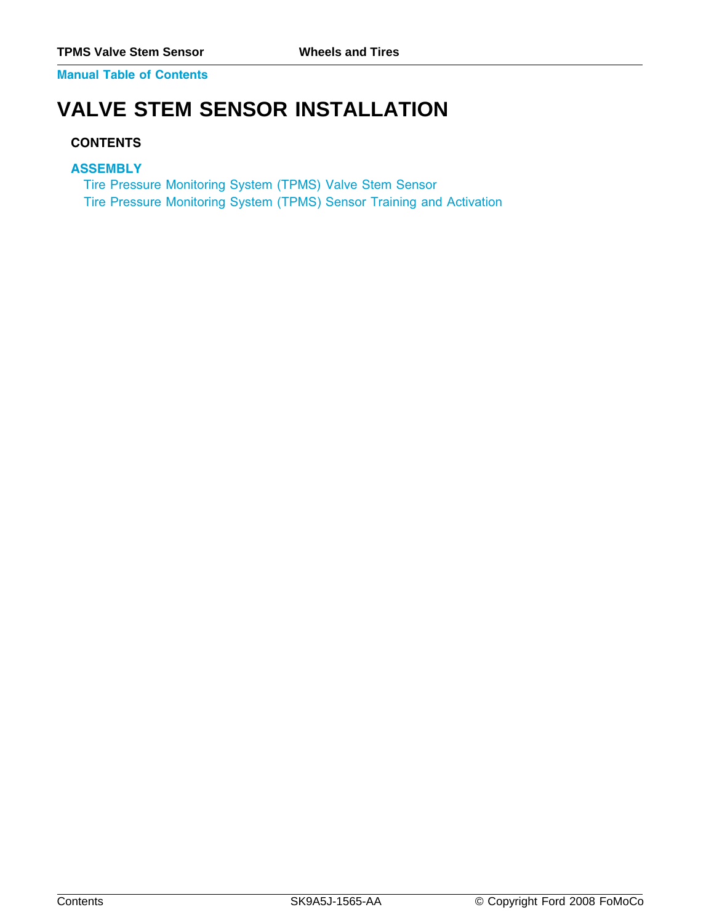**Manual Table of Contents**

# **VALVE STEM SENSOR INSTALLATION**

#### **CONTENTS**

#### **[ASSEMBLY](#page-1-0)**

[Tire Pressure Monitoring System \(TPMS\) Valve Stem Sensor](#page-1-0)

[Tire Pressure Monitoring System \(TPMS\) Sensor Training and Activation](#page-5-0)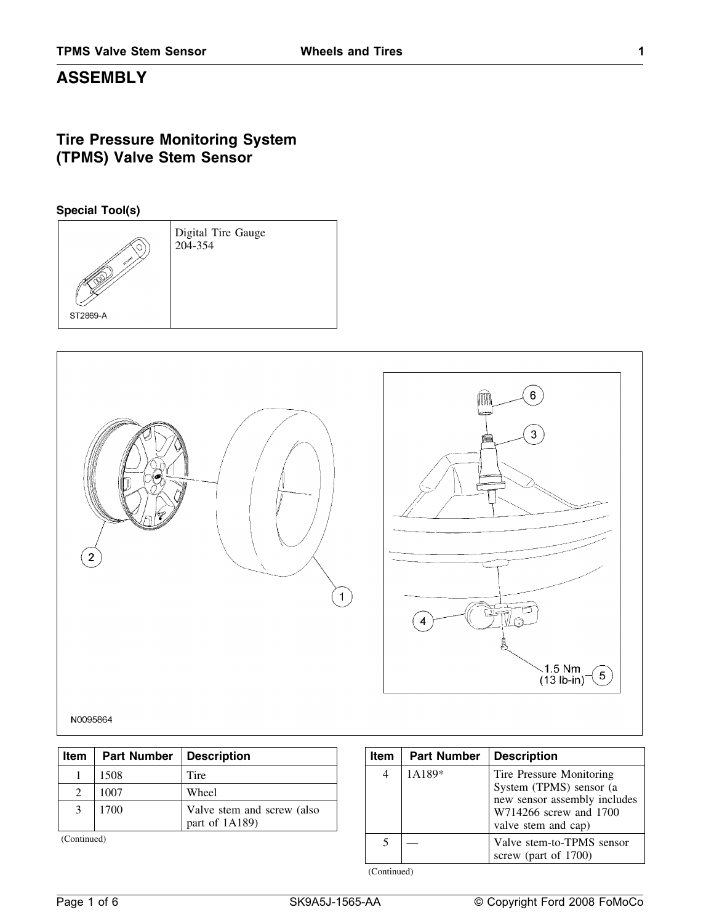# <span id="page-1-0"></span>**ASSEMBLY**

# **Tire Pressure Monitoring System (TPMS) Valve Stem Sensor**

**Special Tool(s)**





| .           |                    |                                               |  |      |                    |                                                         |  |  |  |
|-------------|--------------------|-----------------------------------------------|--|------|--------------------|---------------------------------------------------------|--|--|--|
| Item        | <b>Part Number</b> | <b>Description</b>                            |  | Item | <b>Part Number</b> | <b>Description</b>                                      |  |  |  |
|             | 1508               | Tire                                          |  | 4    | 1A189*             | Tire Pressure Monitoring                                |  |  |  |
| 2           | 1007               | Wheel                                         |  |      |                    | System (TPMS) sensor (a<br>new sensor assembly includes |  |  |  |
| 3           | 1700               | Valve stem and screw (also<br>part of $1A189$ |  |      |                    | W714266 screw and 1700<br>valve stem and cap)           |  |  |  |
| (Continued) |                    |                                               |  |      |                    | Valve stem-to-TPMS sensor<br>screw (part of 1700)       |  |  |  |

(Continued)

 $6<sup>1</sup>$ 3  $\overline{\mathbf{4}}$  $\frac{1.5 \text{ Nm}}{(13 \text{ lb-in})}$  $\left(5\right)$ 

N0095864

| <b>Item</b> | Part Number | Description                                  |  | <b>Item</b> | <b>Part Number</b> | <b>Description</b>                                                                                                                |
|-------------|-------------|----------------------------------------------|--|-------------|--------------------|-----------------------------------------------------------------------------------------------------------------------------------|
|             | 1508        | Tire                                         |  |             | $1A189*$           | Tire Pressure Monitoring<br>System (TPMS) sensor (a<br>new sensor assembly inclu<br>W714266 screw and 1700<br>valve stem and cap) |
|             | 1007        | Wheel                                        |  |             |                    |                                                                                                                                   |
|             | 1700        | Valve stem and screw (also<br>part of 1A189) |  |             |                    |                                                                                                                                   |
|             |             |                                              |  |             |                    |                                                                                                                                   |

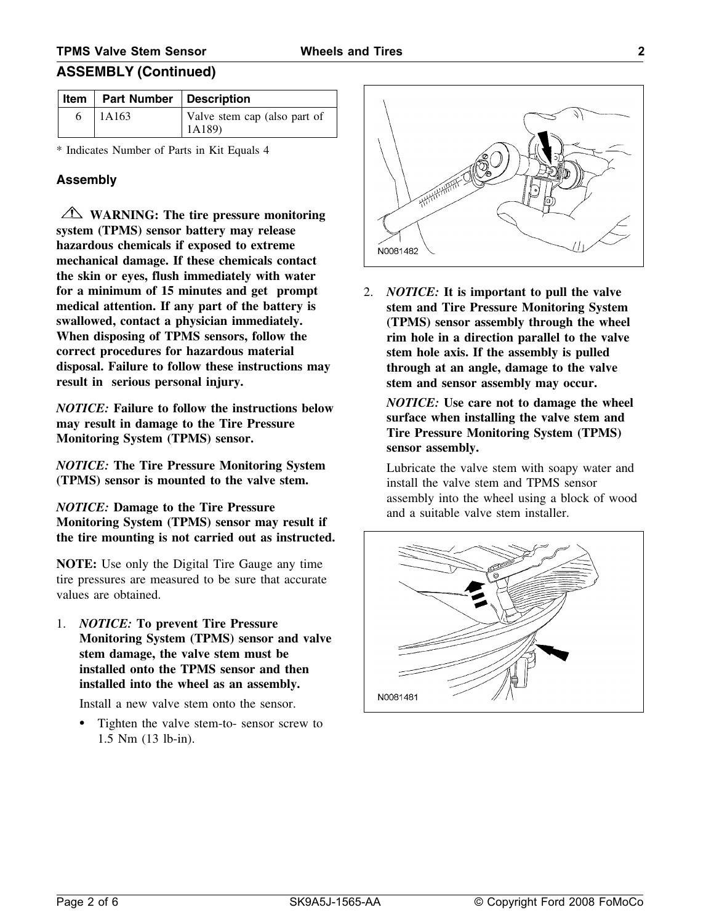#### **ASSEMBLY (Continued)**

|   | <b>Item   Part Number   Description</b> |                                        |
|---|-----------------------------------------|----------------------------------------|
| 6 | $\vert$ 1A163                           | Valve stem cap (also part of<br>1A189) |

\* Indicates Number of Parts in Kit Equals 4

#### **Assembly**

**WARNING: The tire pressure monitoring system (TPMS) sensor battery may release hazardous chemicals if exposed to extreme mechanical damage. If these chemicals contact the skin or eyes, flush immediately with water for a minimum of 15 minutes and get prompt** 2. *NOTICE:* **It is important to pull the valve medical attention. If any part of the battery is stem and Tire Pressure Monitoring System swallowed, contact a physician immediately. (TPMS) sensor assembly through the wheel When disposing of TPMS sensors, follow the rim hole in a direction parallel to the valve correct procedures for hazardous material stem hole axis. If the assembly is pulled disposal. Failure to follow these instructions may through at an angle, damage to the valve result in serious personal injury. stem and sensor assembly may occur.**

may result in damage to the Tire Pressure **Monitoring System (TPMS) sensor. Tire Pressure Monitoring System (TPMS)** 

*NOTICE:* **The Tire Pressure Monitoring System** Lubricate the valve stem with soapy water and **(TPMS) sensor is mounted to the valve stem.** install the valve stem and TPMS sensor

**Monitoring System (TPMS) sensor may result if the tire mounting is not carried out as instructed.**

**NOTE:** Use only the Digital Tire Gauge any time tire pressures are measured to be sure that accurate values are obtained.

1. *NOTICE:* **To prevent Tire Pressure Monitoring System (TPMS) sensor and valve stem damage, the valve stem must be installed onto the TPMS sensor and then installed into the wheel as an assembly.**

Install a new valve stem onto the sensor.

• Tighten the valve stem-to- sensor screw to 1.5 Nm (13 lb-in).



*NOTICE:* Failure to follow the instructions below *NOTICE:* Use care not to damage the wheel<br>surface when installing the valve stem and **sensor assembly.**

**NOTICE:** Damage to the Tire Pressure and a suitable valve stem installer.

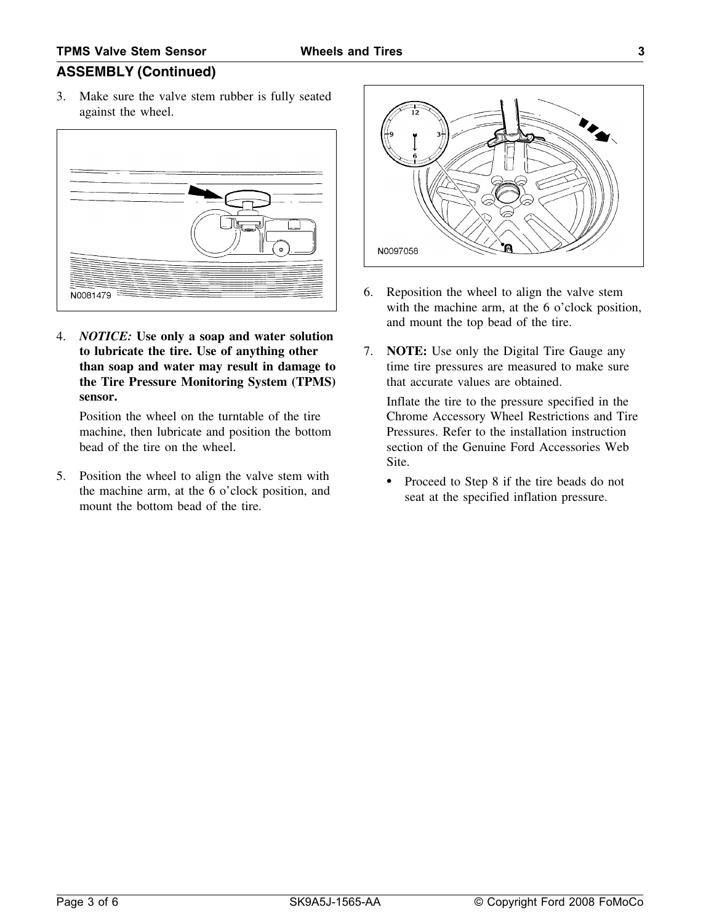# **ASSEMBLY (Continued)**

3. Make sure the valve stem rubber is fully seated against the wheel.



4. *NOTICE:* **Use only a soap and water solution the Tire Pressure Monitoring System (TPMS)** that accurate values are obtained. **sensor.** Inflate the tire to the pressure specified in the

machine, then lubricate and position the bottom Pressures. Refer to the installation instruction bead of the tire on the wheel. section of the Genuine Ford Accessories Web

5. Position the wheel to align the valve stem with  $\bullet$ Proceed to Step 8 if the tire beads do not the machine arm, at the 6 o'clock position, and mount the bottom bead of the tire.



- 6. Reposition the wheel to align the valve stem with the machine arm, at the 6 o'clock position, and mount the top bead of the tire.
- **to lubricate the tire. Use of anything other** 7. **NOTE:** Use only the Digital Tire Gauge any **than soap and water may result in damage to** time tire pressures are measured to make sure

Position the wheel on the turntable of the tire Chrome Accessory Wheel Restrictions and Tire Site.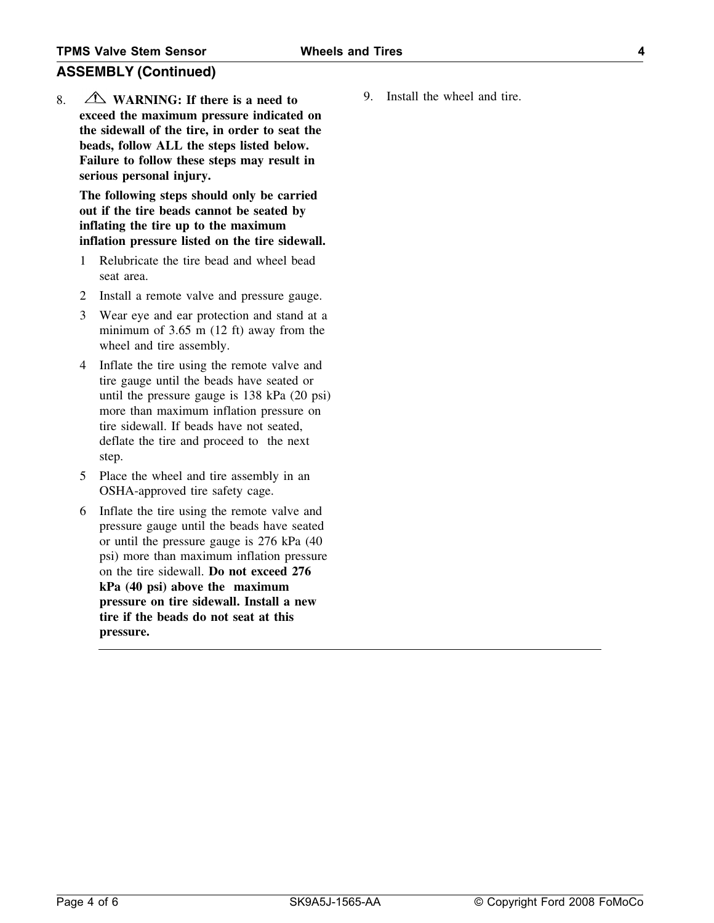### **ASSEMBLY (Continued)**

8.  $\triangle$  **WARNING:** If there is a need to 9. Install the wheel and tire. **exceed the maximum pressure indicated on the sidewall of the tire, in order to seat the beads, follow ALL the steps listed below. Failure to follow these steps may result in serious personal injury.**

**The following steps should only be carried out if the tire beads cannot be seated by inflating the tire up to the maximum inflation pressure listed on the tire sidewall.**

- 1 Relubricate the tire bead and wheel bead seat area.
- 2 Install a remote valve and pressure gauge.
- 3 Wear eye and ear protection and stand at a minimum of 3.65 m (12 ft) away from the wheel and tire assembly.
- 4 Inflate the tire using the remote valve and tire gauge until the beads have seated or until the pressure gauge is 138 kPa (20 psi) more than maximum inflation pressure on tire sidewall. If beads have not seated, deflate the tire and proceed to the next step.
- 5 Place the wheel and tire assembly in an OSHA-approved tire safety cage.
- 6 Inflate the tire using the remote valve and pressure gauge until the beads have seated or until the pressure gauge is 276 kPa (40 psi) more than maximum inflation pressure on the tire sidewall. **Do not exceed 276 kPa (40 psi) above the maximum pressure on tire sidewall. Install a new tire if the beads do not seat at this pressure.**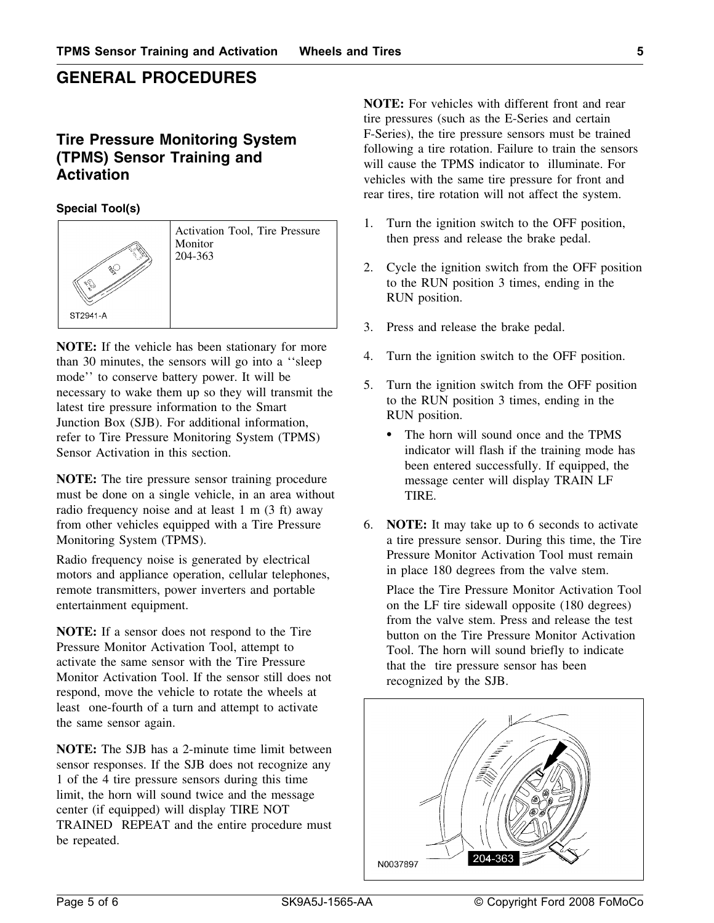# <span id="page-5-0"></span>**GENERAL PROCEDURES**

**Special Tool(s)**



**NOTE:** If the vehicle has been stationary for more than 30 minutes, the sensors will go into a 'sleep 4. Turn the ignition switch to the OFF position. mode'' to conserve battery power. It will be<br>necessary to wake them up so they will transmit the<br>latest tire pressure information to the Smart<br>Junction Box (SJB). For additional information,<br>refer to Tire Pressure Monitori refer to Tire Pressure Monitoring System (TPMS) Sensor Activation in this section. in the section of the training mode has indicator will flash if the training mode has

**NOTE:** The tire pressure sensor training procedure message center will display TRAIN LF must be done on a single vehicle, in an area without TIRE. radio frequency noise and at least 1 m (3 ft) away from other vehicles equipped with a Tire Pressure 6. **NOTE:** It may take up to 6 seconds to activate Monitoring System (TPMS). a tire pressure sensor. During this time, the Tire

motors and appliance operation, cellular telephones, remote transmitters, power inverters and portable Place the Tire Pressure Monitor Activation Tool entertainment equipment. on the LF tire sidewall opposite (180 degrees)

**NOTE:** If a sensor does not respond to the Tire **button** on the Tire Pressure Monitor Activation Pressure Monitor Activation Tool, attempt to Tool. The horn will sound briefly to indicate activate the same sensor with the Tire Pressure that the tire pressure sensor has been Monitor Activation Tool. If the sensor still does not recognized by the SJB. respond, move the vehicle to rotate the wheels at least one-fourth of a turn and attempt to activate the same sensor again.

**NOTE:** The SJB has a 2-minute time limit between sensor responses. If the SJB does not recognize any 1 of the 4 tire pressure sensors during this time limit, the horn will sound twice and the message center (if equipped) will display TIRE NOT TRAINED REPEAT and the entire procedure must be repeated.

**NOTE:** For vehicles with different front and rear tire pressures (such as the E-Series and certain *F*-Series), the tire pressure sensors must be trained Tire Pressure Monitoring System<br>
(TPMS) Sensor Training and<br>
Activation<br>
Activation<br>
Activation<br>
Activation<br>
Activation<br>
Activation<br>
Activation<br>
Activation<br>
Activation<br>
Activation<br>
Activation<br>
Activation<br>
Activation<br>
Activ vehicles with the same tire pressure for front and rear tires, tire rotation will not affect the system.

- Activation Tool, Tire Pressure 1. Turn the ignition switch to the OFF position, Acuvation 1001, The Fressure<br>Monitor then press and release the brake pedal.
	- 2. Cycle the ignition switch from the OFF position to the RUN position 3 times, ending in the RUN position.
	- 3. Press and release the brake pedal.
	-
	- - been entered successfully. If equipped, the
- Radio frequency noise is generated by electrical<br>motors and appliance operation cellular telephones<br>in place 180 degrees from the valve stem.

from the valve stem. Press and release the test that the tire pressure sensor has been